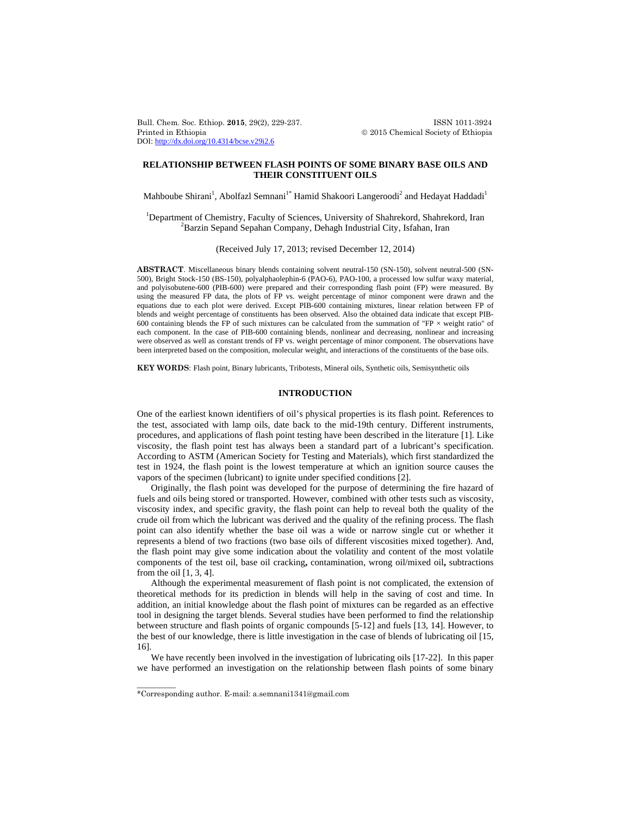Bull. Chem. Soc. Ethiop. **2015**, 29(2), 229-237. ISSN 1011-3924 Printed in Ethiopia 2015 Chemical Society of Ethiopia DOI: http://dx.doi.org/10.4314/bcse.v29i2.6

# **RELATIONSHIP BETWEEN FLASH POINTS OF SOME BINARY BASE OILS AND THEIR CONSTITUENT OILS**

Mahboube Shirani<sup>1</sup>, Abolfazl Semnani<sup>1\*</sup> Hamid Shakoori Langeroodi<sup>2</sup> and Hedayat Haddadi<sup>1</sup>

<sup>1</sup>Department of Chemistry, Faculty of Sciences, University of Shahrekord, Shahrekord, Iran <sup>2</sup>Departin Separad Separator Company. Debacak Industrial City, Isfaben, Iran  ${}^{2}$ Barzin Sepand Sepahan Company, Dehagh Industrial City, Isfahan, Iran

(Received July 17, 2013; revised December 12, 2014)

**ABSTRACT**. Miscellaneous binary blends containing solvent neutral-150 (SN-150), solvent neutral-500 (SN-500), Bright Stock-150 (BS-150), polyalphaolephin-6 (PAO-6), PAO-100, a processed low sulfur waxy material, and polyisobutene-600 (PIB-600) were prepared and their corresponding flash point (FP) were measured. By using the measured FP data, the plots of FP vs. weight percentage of minor component were drawn and the equations due to each plot were derived. Except PIB-600 containing mixtures, linear relation between FP of blends and weight percentage of constituents has been observed. Also the obtained data indicate that except PIB-600 containing blends the FP of such mixtures can be calculated from the summation of "FP  $\times$  weight ratio" of each component. In the case of PIB-600 containing blends, nonlinear and decreasing, nonlinear and increasing were observed as well as constant trends of FP vs. weight percentage of minor component. The observations have been interpreted based on the composition, molecular weight, and interactions of the constituents of the base oils.

**KEY WORDS**: Flash point, Binary lubricants, Tribotests, Mineral oils, Synthetic oils, Semisynthetic oils

## **INTRODUCTION**

One of the earliest known identifiers of oil's physical properties is its flash point. References to the test, associated with lamp oils, date back to the mid-19th century. Different instruments, procedures, and applications of flash point testing have been described in the literature [1]. Like viscosity, the flash point test has always been a standard part of a lubricant's specification. According to ASTM (American Society for Testing and Materials), which first standardized the test in 1924, the flash point is the lowest temperature at which an ignition source causes the vapors of the specimen (lubricant) to ignite under specified conditions [2].

Originally, the flash point was developed for the purpose of determining the fire hazard of fuels and oils being stored or transported. However, combined with other tests such as viscosity, viscosity index, and specific gravity, the flash point can help to reveal both the quality of the crude oil from which the lubricant was derived and the quality of the refining process. The flash point can also identify whether the base oil was a wide or narrow single cut or whether it represents a blend of two fractions (two base oils of different viscosities mixed together). And, the flash point may give some indication about the volatility and content of the most volatile components of the test oil, base oil cracking**,** contamination, wrong oil/mixed oil**,** subtractions from the oil [1, 3, 4].

Although the experimental measurement of flash point is not complicated, the extension of theoretical methods for its prediction in blends will help in the saving of cost and time. In addition, an initial knowledge about the flash point of mixtures can be regarded as an effective tool in designing the target blends. Several studies have been performed to find the relationship between structure and flash points of organic compounds [5-12] and fuels [13, 14]. However, to the best of our knowledge, there is little investigation in the case of blends of lubricating oil [15, 16].

We have recently been involved in the investigation of lubricating oils [17-22]. In this paper we have performed an investigation on the relationship between flash points of some binary

 $\overline{\phantom{a}}$ 

<sup>\*</sup>Corresponding author. E-mail: a.semnani1341@gmail.com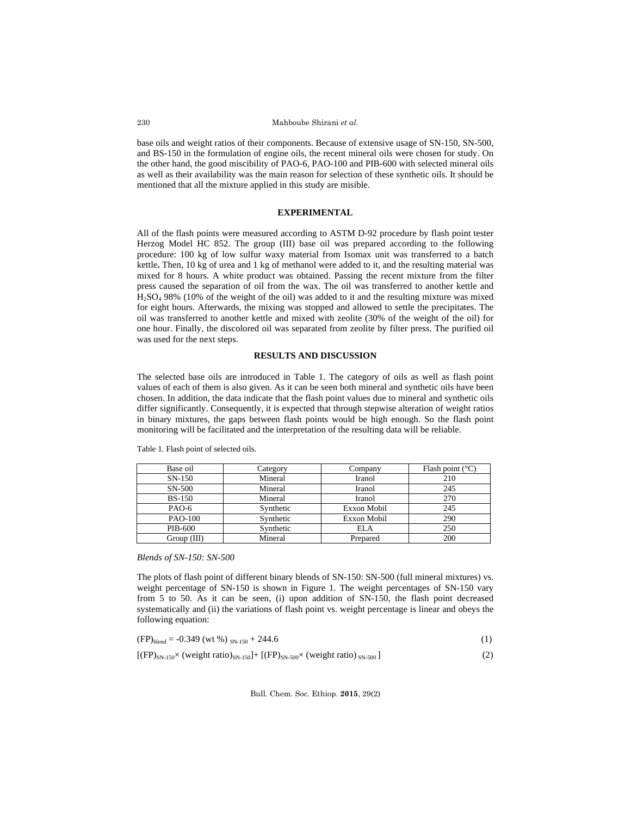base oils and weight ratios of their components. Because of extensive usage of SN-150, SN-500, and BS-150 in the formulation of engine oils, the recent mineral oils were chosen for study. On the other hand, the good miscibility of PAO-6, PAO-100 and PIB-600 with selected mineral oils as well as their availability was the main reason for selection of these synthetic oils. It should be mentioned that all the mixture applied in this study are misible.

#### **EXPERIMENTAL**

All of the flash points were measured according to ASTM D-92 procedure by flash point tester Herzog Model HC 852. The group (III) base oil was prepared according to the following procedure: 100 kg of low sulfur waxy material from Isomax unit was transferred to a batch kettle**.** Then, 10 kg of urea and 1 kg of methanol were added to it, and the resulting material was mixed for 8 hours. A white product was obtained. Passing the recent mixture from the filter press caused the separation of oil from the wax. The oil was transferred to another kettle and  $H_2SO_4$  98% (10% of the weight of the oil) was added to it and the resulting mixture was mixed for eight hours. Afterwards, the mixing was stopped and allowed to settle the precipitates. The oil was transferred to another kettle and mixed with zeolite (30% of the weight of the oil) for one hour. Finally, the discolored oil was separated from zeolite by filter press. The purified oil was used for the next steps.

## **RESULTS AND DISCUSSION**

The selected base oils are introduced in Table 1. The category of oils as well as flash point values of each of them is also given. As it can be seen both mineral and synthetic oils have been chosen. In addition, the data indicate that the flash point values due to mineral and synthetic oils differ significantly. Consequently, it is expected that through stepwise alteration of weight ratios in binary mixtures, the gaps between flash points would be high enough. So the flash point monitoring will be facilitated and the interpretation of the resulting data will be reliable.

| Base oil       | Category  | Company     | Flash point $(^{\circ}C)$ |
|----------------|-----------|-------------|---------------------------|
| $SN-150$       | Mineral   | Iranol      | 210                       |
| SN-500         | Mineral   | Iranol      | 245                       |
| <b>BS-150</b>  | Mineral   | Iranol      | 270                       |
| PAO-6          | Synthetic | Exxon Mobil | 245                       |
| <b>PAO-100</b> | Synthetic | Exxon Mobil | 290                       |
| PIB-600        | Synthetic | ELA         | 250                       |
| Group (III)    | Mineral   | Prepared    | 200                       |

Table 1. Flash point of selected oils.

*Blends of SN-150: SN-500* 

The plots of flash point of different binary blends of SN-150: SN-500 (full mineral mixtures) vs. weight percentage of SN-150 is shown in Figure 1. The weight percentages of SN-150 vary from 5 to 50. As it can be seen, (i) upon addition of SN-150, the flash point decreased systematically and (ii) the variations of flash point vs. weight percentage is linear and obeys the following equation:

$$
(FP)_{\text{blend}} = -0.349 \text{ (wt %)}_{\text{SN-150}} + 244.6 \tag{1}
$$

 $[(FP)_{SN-150}\times (weight\ ratio)_{SN-150}] + [(FP)_{SN-500}\times (weight\ ratio)_{SN-500}]$  (2)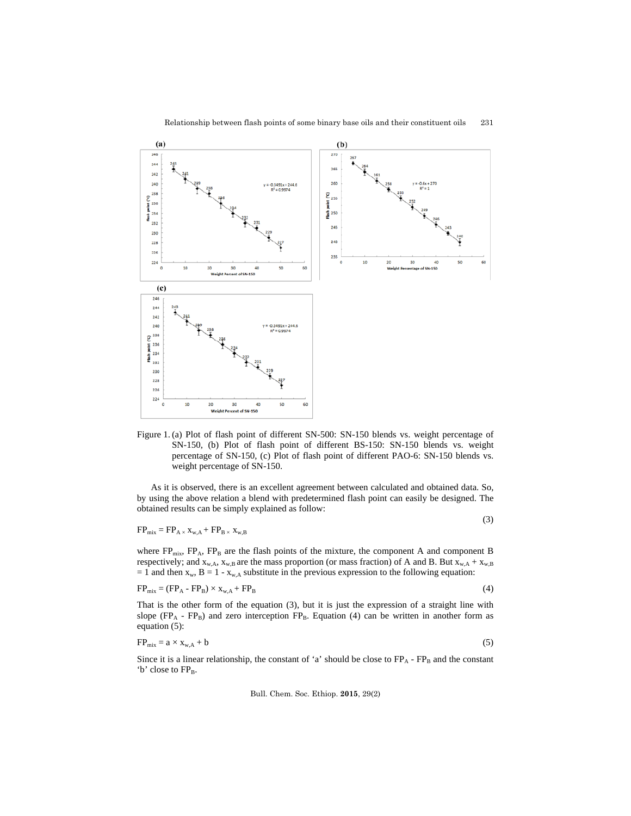

Figure 1. (a) Plot of flash point of different SN-500: SN-150 blends vs. weight percentage of SN-150, (b) Plot of flash point of different BS-150: SN-150 blends vs. weight percentage of SN-150, (c) Plot of flash point of different PAO-6: SN-150 blends vs. weight percentage of SN-150.

As it is observed, there is an excellent agreement between calculated and obtained data. So, by using the above relation a blend with predetermined flash point can easily be designed. The obtained results can be simply explained as follow:

(3)

 $FP_{mix} = FP_{A \times} x_{w,A} + FP_{B \times} x_{w,B}$ 

where  $FP<sub>mix</sub>,  $FP<sub>A</sub>,  $FP<sub>B</sub>$  are the flash points of the mixture, the component A and component B$$ respectively; and  $x_{w,A}$ ,  $x_{w,B}$  are the mass proportion (or mass fraction) of A and B. But  $x_{w,A} + x_{w,B}$ = 1 and then  $x_w$ , B = 1 -  $x_{w,A}$  substitute in the previous expression to the following equation:

$$
FP_{mix} = (FP_A - FP_B) \times x_{w,A} + FP_B \tag{4}
$$

That is the other form of the equation (3), but it is just the expression of a straight line with slope (FP<sub>A</sub> - FP<sub>B</sub>) and zero interception FP<sub>B</sub>. Equation (4) can be written in another form as equation (5):

$$
FP_{mix} = a \times x_{w,A} + b \tag{5}
$$

Since it is a linear relationship, the constant of 'a' should be close to  $FP_A$  -  $FP_B$  and the constant 'b' close to  $FP_B$ .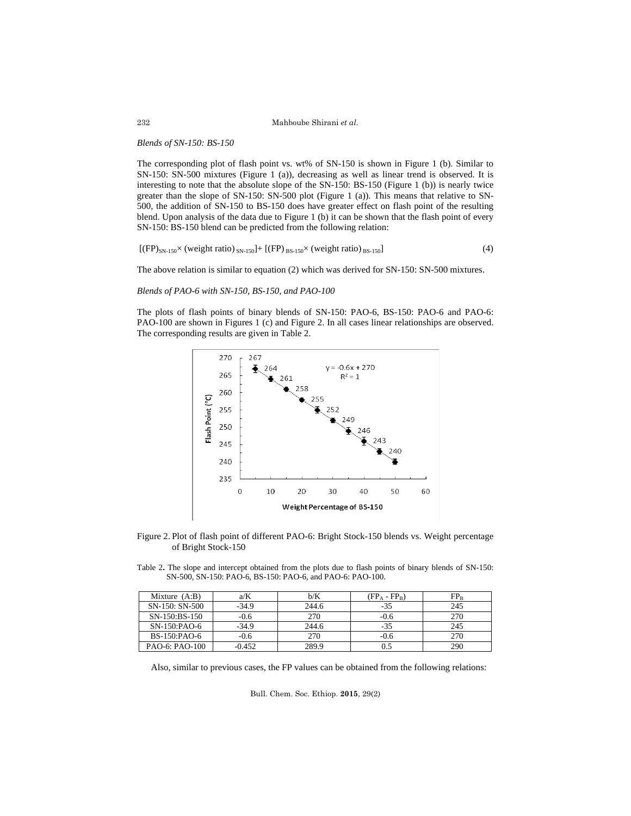#### Mahboube Shirani *et al.*

#### *Blends of SN-150: BS-150*

The corresponding plot of flash point vs. wt% of SN-150 is shown in Figure 1 (b). Similar to SN-150: SN-500 mixtures (Figure 1 (a)), decreasing as well as linear trend is observed. It is interesting to note that the absolute slope of the SN-150: BS-150 (Figure 1 (b)) is nearly twice greater than the slope of SN-150: SN-500 plot (Figure 1 (a)). This means that relative to SN-500, the addition of SN-150 to BS-150 does have greater effect on flash point of the resulting blend. Upon analysis of the data due to Figure 1 (b) it can be shown that the flash point of every SN-150: BS-150 blend can be predicted from the following relation:

$$
[(FP)_{SN-150}\times (weight ratio)_{SN-150}] + [(FP)_{BS-150}\times (weight ratio)_{BS-150}] \tag{4}
$$

The above relation is similar to equation (2) which was derived for SN-150: SN-500 mixtures.

*Blends of PAO-6 with SN-150, BS-150, and PAO-100* 

The plots of flash points of binary blends of SN-150: PAO-6, BS-150: PAO-6 and PAO-6: PAO-100 are shown in Figures 1 (c) and Figure 2. In all cases linear relationships are observed. The corresponding results are given in Table 2.



Figure 2. Plot of flash point of different PAO-6: Bright Stock-150 blends vs. Weight percentage of Bright Stock-150

Table 2**.** The slope and intercept obtained from the plots due to flash points of binary blends of SN-150: SN-500, SN-150: PAO-6, BS-150: PAO-6, and PAO-6: PAO-100.

| Mixture $(A:B)$ | a/K      | b/K   | $(FP_A - FP_B)$ | FP <sub>B</sub> |
|-----------------|----------|-------|-----------------|-----------------|
| SN-150: SN-500  | $-34.9$  | 244.6 | $-35$           | 245             |
| SN-150:BS-150   | $-0.6$   | 270   | $-0.6$          |                 |
| SN-150:PAO-6    | $-34.9$  | 244.6 | $-35$           | 245             |
| BS-150:PAO-6    | $-0.6$   | 270   | $-0.6$          | 270             |
| PAO-6: PAO-100  | $-0.452$ | 289.9 | 0.5             | 290             |

Also, similar to previous cases, the FP values can be obtained from the following relations:

Bull. Chem. Soc. Ethiop. **2015**, 29(2)

232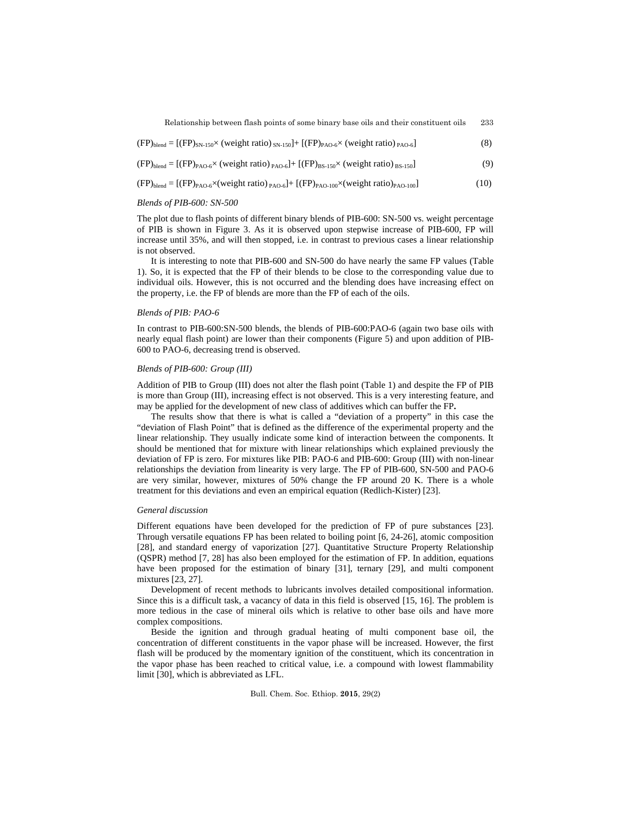| $(FP)_{\text{blend}} = [(FP)_{\text{SN-150}} \times (\text{weight ratio})_{\text{SN-150}}] + [(FP)_{\text{PAO-6}} \times (\text{weight ratio})_{\text{PAO-6}}]$ | (8) |
|-----------------------------------------------------------------------------------------------------------------------------------------------------------------|-----|
| $(FP)_{\text{blend}} = [(FP)_{PAO-6} \times (\text{weight ratio})_{PAO-6}] + [(FP)_{BS-150} \times (\text{weight ratio})_{BS-150}]$                             | (9) |

 $(FP)_{\text{blend}} = [(FP)_{\text{PAO-6}} \times (\text{weight ratio})_{\text{PAO-6}}] + [(FP)_{\text{PAO-100}} \times (\text{weight ratio})_{\text{PAO-100}}]$  (10)

#### *Blends of PIB-600: SN-500*

The plot due to flash points of different binary blends of PIB-600: SN-500 vs. weight percentage of PIB is shown in Figure 3. As it is observed upon stepwise increase of PIB-600, FP will increase until 35%, and will then stopped, i.e. in contrast to previous cases a linear relationship is not observed.

It is interesting to note that PIB-600 and SN-500 do have nearly the same FP values (Table 1). So, it is expected that the FP of their blends to be close to the corresponding value due to individual oils. However, this is not occurred and the blending does have increasing effect on the property, i.e. the FP of blends are more than the FP of each of the oils.

## *Blends of PIB: PAO-6*

In contrast to PIB-600:SN-500 blends, the blends of PIB-600:PAO-6 (again two base oils with nearly equal flash point) are lower than their components (Figure 5) and upon addition of PIB-600 to PAO-6, decreasing trend is observed.

### *Blends of PIB-600: Group (III)*

Addition of PIB to Group (III) does not alter the flash point (Table 1) and despite the FP of PIB is more than Group (III), increasing effect is not observed. This is a very interesting feature, and may be applied for the development of new class of additives which can buffer the FP**.** 

The results show that there is what is called a "deviation of a property" in this case the "deviation of Flash Point" that is defined as the difference of the experimental property and the linear relationship. They usually indicate some kind of interaction between the components. It should be mentioned that for mixture with linear relationships which explained previously the deviation of FP is zero. For mixtures like PIB: PAO-6 and PIB-600: Group (III) with non-linear relationships the deviation from linearity is very large. The FP of PIB-600, SN-500 and PAO-6 are very similar, however, mixtures of 50% change the FP around 20 K. There is a whole treatment for this deviations and even an empirical equation (Redlich-Kister) [23].

#### *General discussion*

Different equations have been developed for the prediction of FP of pure substances [23]. Through versatile equations FP has been related to boiling point [6, 24-26], atomic composition [28], and standard energy of vaporization [27]. Quantitative Structure Property Relationship (QSPR) method [7, 28] has also been employed for the estimation of FP. In addition, equations have been proposed for the estimation of binary [31], ternary [29], and multi component mixtures [23, 27].

Development of recent methods to lubricants involves detailed compositional information. Since this is a difficult task, a vacancy of data in this field is observed [15, 16]. The problem is more tedious in the case of mineral oils which is relative to other base oils and have more complex compositions.

Beside the ignition and through gradual heating of multi component base oil, the concentration of different constituents in the vapor phase will be increased. However, the first flash will be produced by the momentary ignition of the constituent, which its concentration in the vapor phase has been reached to critical value, i.e. a compound with lowest flammability limit [30], which is abbreviated as LFL.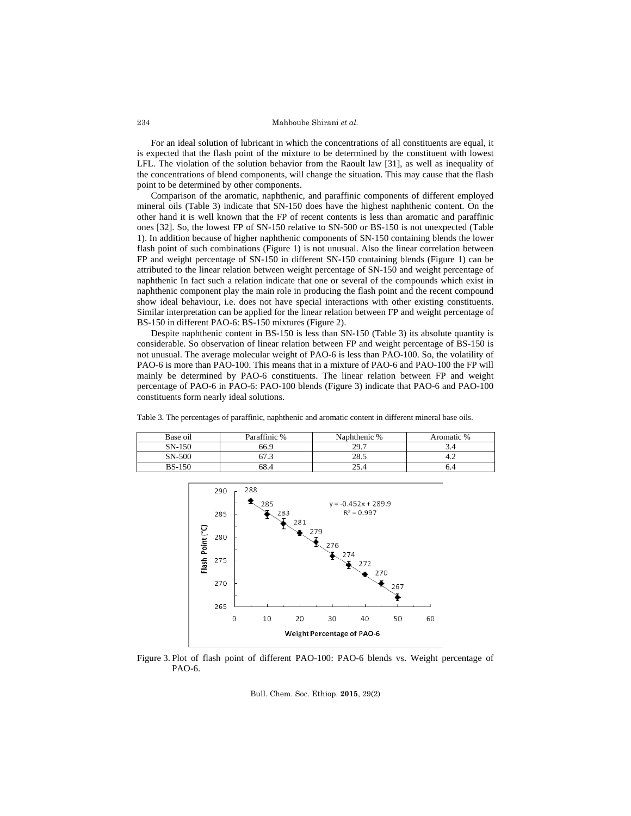Mahboube Shirani *et al.*

For an ideal solution of lubricant in which the concentrations of all constituents are equal, it is expected that the flash point of the mixture to be determined by the constituent with lowest LFL. The violation of the solution behavior from the Raoult law [31], as well as inequality of the concentrations of blend components, will change the situation. This may cause that the flash point to be determined by other components.

Comparison of the aromatic, naphthenic, and paraffinic components of different employed mineral oils (Table 3) indicate that SN-150 does have the highest naphthenic content. On the other hand it is well known that the FP of recent contents is less than aromatic and paraffinic ones [32]. So, the lowest FP of SN-150 relative to SN-500 or BS-150 is not unexpected (Table 1). In addition because of higher naphthenic components of SN-150 containing blends the lower flash point of such combinations (Figure 1) is not unusual. Also the linear correlation between FP and weight percentage of SN-150 in different SN-150 containing blends (Figure 1) can be attributed to the linear relation between weight percentage of SN-150 and weight percentage of naphthenic In fact such a relation indicate that one or several of the compounds which exist in naphthenic component play the main role in producing the flash point and the recent compound show ideal behaviour, i.e. does not have special interactions with other existing constituents. Similar interpretation can be applied for the linear relation between FP and weight percentage of BS-150 in different PAO-6: BS-150 mixtures (Figure 2).

Despite naphthenic content in BS-150 is less than SN-150 (Table 3) its absolute quantity is considerable. So observation of linear relation between FP and weight percentage of BS-150 is not unusual. The average molecular weight of PAO-6 is less than PAO-100. So, the volatility of PAO-6 is more than PAO-100. This means that in a mixture of PAO-6 and PAO-100 the FP will mainly be determined by PAO-6 constituents. The linear relation between FP and weight percentage of PAO-6 in PAO-6: PAO-100 blends (Figure 3) indicate that PAO-6 and PAO-100 constituents form nearly ideal solutions.

| Base oil      | Paraffinic %   | Naphthenic % | Aromatic % |
|---------------|----------------|--------------|------------|
| $SN-150$      | 66.9           | 29.7         |            |
| SN-500        | $\sim$<br>07.J | 28.5         | −…         |
| <b>BS-150</b> | 68.4           | 25.4         |            |

Table 3. The percentages of paraffinic, naphthenic and aromatic content in different mineral base oils.



Figure 3. Plot of flash point of different PAO-100: PAO-6 blends vs. Weight percentage of PAO-6.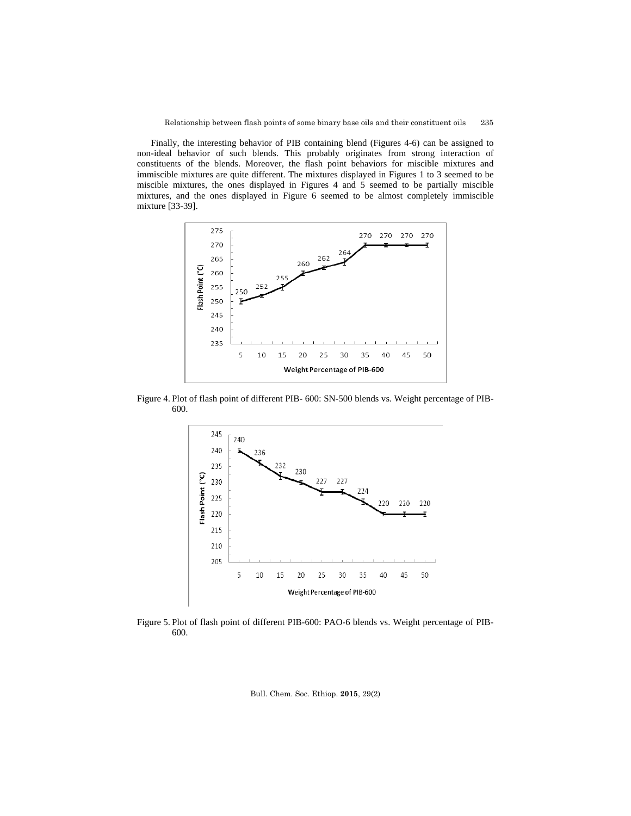Finally, the interesting behavior of PIB containing blend (Figures 4-6) can be assigned to non-ideal behavior of such blends. This probably originates from strong interaction of constituents of the blends. Moreover, the flash point behaviors for miscible mixtures and immiscible mixtures are quite different. The mixtures displayed in Figures 1 to 3 seemed to be miscible mixtures, the ones displayed in Figures 4 and 5 seemed to be partially miscible mixtures, and the ones displayed in Figure 6 seemed to be almost completely immiscible mixture [33-39].



Figure 4. Plot of flash point of different PIB- 600: SN-500 blends vs. Weight percentage of PIB-600.



Figure 5. Plot of flash point of different PIB-600: PAO-6 blends vs. Weight percentage of PIB-600.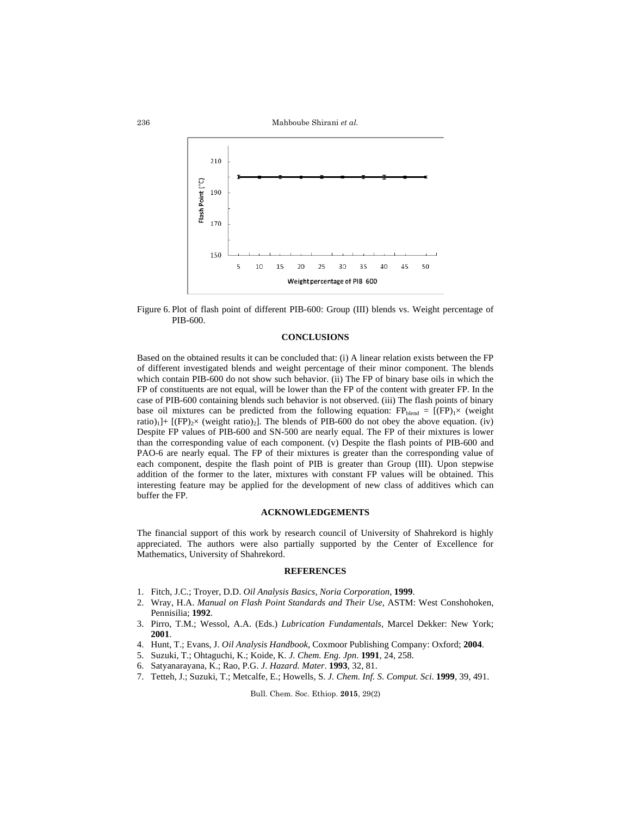

Figure 6. Plot of flash point of different PIB-600: Group (III) blends vs. Weight percentage of PIB-600.

#### **CONCLUSIONS**

Based on the obtained results it can be concluded that: (i) A linear relation exists between the FP of different investigated blends and weight percentage of their minor component. The blends which contain PIB-600 do not show such behavior. (ii) The FP of binary base oils in which the FP of constituents are not equal, will be lower than the FP of the content with greater FP. In the case of PIB-600 containing blends such behavior is not observed. (iii) The flash points of binary base oil mixtures can be predicted from the following equation:  $FP_{\text{blend}} = [(FP)_1 \times$  (weight ratio)<sub>1</sub>]+ [(FP)<sub>2</sub>× (weight ratio)<sub>2</sub>]. The blends of PIB-600 do not obey the above equation. (iv) Despite FP values of PIB-600 and SN-500 are nearly equal. The FP of their mixtures is lower than the corresponding value of each component. (v) Despite the flash points of PIB-600 and PAO-6 are nearly equal. The FP of their mixtures is greater than the corresponding value of each component, despite the flash point of PIB is greater than Group (III). Upon stepwise addition of the former to the later, mixtures with constant FP values will be obtained. This interesting feature may be applied for the development of new class of additives which can buffer the FP.

## **ACKNOWLEDGEMENTS**

The financial support of this work by research council of University of Shahrekord is highly appreciated. The authors were also partially supported by the Center of Excellence for Mathematics, University of Shahrekord.

## **REFERENCES**

- 1. Fitch, J.C.; Troyer, D.D. *Oil Analysis Basics, Noria Corporation*, **1999**.
- 2. Wray, H.A. *Manual on Flash Point Standards and Their Use*, ASTM: West Conshohoken, Pennisilia; **1992**.
- 3. Pirro, T.M.; Wessol, A.A. (Eds.) *Lubrication Fundamentals*, Marcel Dekker: New York; **2001**.
- 4. Hunt, T.; Evans, J. *Oil Analysis Handbook*, Coxmoor Publishing Company: Oxford; **2004**.
- 5. Suzuki, T.; Ohtaguchi, K.; Koide, K. *J. Chem. Eng. Jpn*. **1991**, 24, 258.
- 6. Satyanarayana, K.; Rao, P.G. *J. Hazard. Mater*. **1993**, 32, 81.
- 7. Tetteh, J.; Suzuki, T.; Metcalfe, E.; Howells, S. *J. Chem. Inf. S. Comput. Sci*. **1999**, 39, 491.

Bull. Chem. Soc. Ethiop. **2015**, 29(2)

236